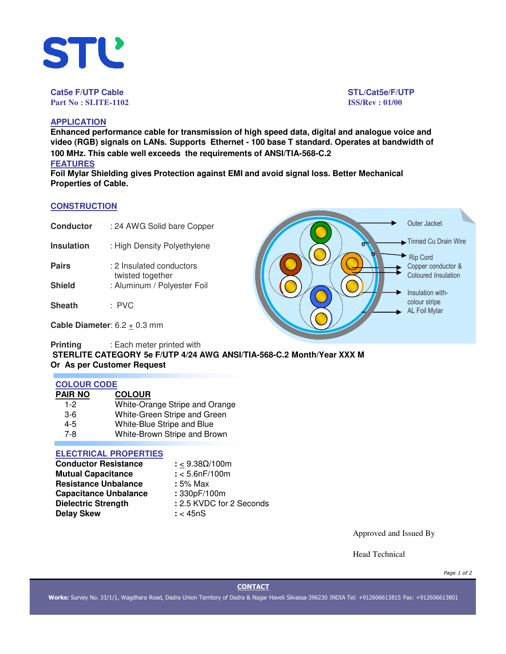

**Cat5e F/UTP Cable STL/Cat5e/F/UTP Part No : SLITE-1102 ISS/Rev : 01/00**

# **APPLICATION**

**Enhanced performance cable for transmission of high speed data, digital and analogue voice and video (RGB) signals on LANs. Supports Ethernet - 100 base T standard. Operates at bandwidth of 100 MHz. This cable well exceeds the requirements of ANSI/TIA-568-C.2 FEATURES**

**Foil Mylar Shielding gives Protection against EMI and avoid signal loss. Better Mechanical Properties of Cable.**

## **CONSTRUCTION**

| <b>Conductor</b> | : 24 AWG Solid bare Copper |
|------------------|----------------------------|
|------------------|----------------------------|

- **Insulation** : High Density Polyethylene
- **Pairs** : 2 Insulated conductors twisted together **Shield** : Aluminum / Polyester Foil
- **Sheath** : PVC

**Cable Diameter**:  $6.2 \pm 0.3$  mm

**Printing** : Each meter printed with **STERLITE CATEGORY 5e F/UTP 4/24 AWG ANSI/TIA-568-C.2 Month/Year XXX M Or As per Customer Request**

### **COLOUR CODE**

| PAIR NO | <b>COLOUR</b>                  |
|---------|--------------------------------|
| $1 - 2$ | White-Orange Stripe and Orange |
| $3-6$   | White-Green Stripe and Green   |
| 4-5     | White-Blue Stripe and Blue     |
| 7-8     | White-Brown Stripe and Brown   |

# **ELECTRICAL PROPERTIES**

| <b>Conductor Resistance</b>  | : < $9.38\Omega/100m$    |
|------------------------------|--------------------------|
| <b>Mutual Capacitance</b>    | $: < 5.6$ n $F/100$ m    |
| <b>Resistance Unbalance</b>  | : 5% Max                 |
| <b>Capacitance Unbalance</b> | : 330pF/100m             |
| <b>Dielectric Strength</b>   | : 2.5 KVDC for 2 Seconds |
| <b>Delay Skew</b>            | $:$ < 45nS               |

Approved and Issued By

Head Technical

*Page 1 of 2*

### **CONTACT**

**Works:** Survey No. 33/1/1, Wagdhara Road, Dadra Union Territory of Dadra & Nagar Haveli Silvassa-396230 INDIA Tel: +912606613815 Fax: +912606613801